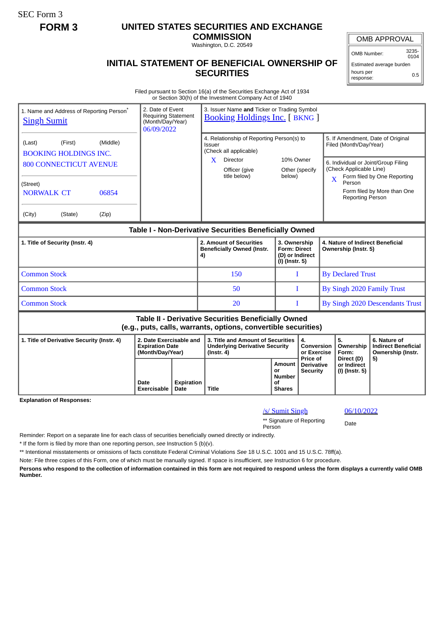SEC Form 3

## **FORM 3 UNITED STATES SECURITIES AND EXCHANGE**

**COMMISSION** Washington, D.C. 20549

OMB Number: 3235-  $0104$ 

0.5

**INITIAL STATEMENT OF BENEFICIAL OWNERSHIP OF SECURITIES** Estimated average burden hours per response:

Filed pursuant to Section 16(a) of the Securities Exchange Act of 1934 or Section 30(h) of the Investment Company Act of 1940

| <b>Singh Sumit</b>                                                                                                           | 1. Name and Address of Reporting Person <sup>®</sup> | 2. Date of Event<br><b>Requiring Statement</b><br>(Month/Day/Year)<br>06/09/2022 | 3. Issuer Name and Ticker or Trading Symbol<br><b>Booking Holdings Inc.</b> [BKNG ] |                                                                                                |                                                                               |                                                      |                                                                            |                                                             |                                                                                                    |    |  |
|------------------------------------------------------------------------------------------------------------------------------|------------------------------------------------------|----------------------------------------------------------------------------------|-------------------------------------------------------------------------------------|------------------------------------------------------------------------------------------------|-------------------------------------------------------------------------------|------------------------------------------------------|----------------------------------------------------------------------------|-------------------------------------------------------------|----------------------------------------------------------------------------------------------------|----|--|
| (Middle)<br>(First)<br>(Last)<br><b>BOOKING HOLDINGS INC.</b>                                                                |                                                      |                                                                                  |                                                                                     |                                                                                                | 4. Relationship of Reporting Person(s) to<br>Issuer<br>(Check all applicable) |                                                      |                                                                            | 5. If Amendment, Date of Original<br>Filed (Month/Day/Year) |                                                                                                    |    |  |
| <b>800 CONNECTICUT AVENUE</b>                                                                                                |                                                      |                                                                                  |                                                                                     |                                                                                                | X<br>Director<br>Officer (give<br>title below)                                |                                                      | 10% Owner<br>Other (specify<br>below)                                      |                                                             | 6. Individual or Joint/Group Filing<br>(Check Applicable Line)<br>Form filed by One Reporting<br>X |    |  |
| (Street)<br><b>NORWALK CT</b>                                                                                                | 06854                                                |                                                                                  |                                                                                     |                                                                                                |                                                                               |                                                      |                                                                            | Person<br>Form filed by More than One<br>Reporting Person   |                                                                                                    |    |  |
| (City)                                                                                                                       | (State)                                              | (Zip)                                                                            |                                                                                     |                                                                                                |                                                                               |                                                      |                                                                            |                                                             |                                                                                                    |    |  |
| Table I - Non-Derivative Securities Beneficially Owned                                                                       |                                                      |                                                                                  |                                                                                     |                                                                                                |                                                                               |                                                      |                                                                            |                                                             |                                                                                                    |    |  |
| 1. Title of Security (Instr. 4)                                                                                              |                                                      |                                                                                  |                                                                                     |                                                                                                | 2. Amount of Securities<br><b>Beneficially Owned (Instr.</b><br>4)            |                                                      | 3. Ownership<br><b>Form: Direct</b><br>(D) or Indirect<br>$(I)$ (Instr. 5) |                                                             | 4. Nature of Indirect Beneficial<br>Ownership (Instr. 5)                                           |    |  |
| <b>Common Stock</b>                                                                                                          |                                                      |                                                                                  |                                                                                     |                                                                                                | 150                                                                           |                                                      | L                                                                          |                                                             | <b>By Declared Trust</b>                                                                           |    |  |
| <b>Common Stock</b>                                                                                                          |                                                      |                                                                                  |                                                                                     |                                                                                                | 50                                                                            | T                                                    |                                                                            | By Singh 2020 Family Trust                                  |                                                                                                    |    |  |
| <b>Common Stock</b>                                                                                                          |                                                      |                                                                                  |                                                                                     |                                                                                                | 20                                                                            |                                                      | T                                                                          |                                                             | By Singh 2020 Descendants Trust                                                                    |    |  |
| <b>Table II - Derivative Securities Beneficially Owned</b><br>(e.g., puts, calls, warrants, options, convertible securities) |                                                      |                                                                                  |                                                                                     |                                                                                                |                                                                               |                                                      |                                                                            |                                                             |                                                                                                    |    |  |
| 2. Date Exercisable and<br>1. Title of Derivative Security (Instr. 4)<br><b>Expiration Date</b><br>(Month/Day/Year)          |                                                      |                                                                                  |                                                                                     | 3. Title and Amount of Securities<br><b>Underlying Derivative Security</b><br>$($ Instr. 4 $)$ |                                                                               | 4.<br>Conversion<br>or Exercise<br>Price of          |                                                                            | 5.<br>Ownership<br>Form:<br>Direct (D)                      | 6. Nature of<br><b>Indirect Beneficial</b><br>Ownership (Instr.                                    |    |  |
|                                                                                                                              |                                                      |                                                                                  | Date<br>Exercisable                                                                 | Expiration<br>Date                                                                             | Title                                                                         | Amount<br>or<br><b>Number</b><br>Οf<br><b>Shares</b> | <b>Derivative</b><br><b>Security</b>                                       |                                                             | or Indirect<br>(I) (Instr. 5)                                                                      | 5) |  |

**Explanation of Responses:**

## /s/ Sumit Singh 06/10/2022

\*\* Signature of Reporting Person Date

Reminder: Report on a separate line for each class of securities beneficially owned directly or indirectly.

\* If the form is filed by more than one reporting person, *see* Instruction 5 (b)(v).

\*\* Intentional misstatements or omissions of facts constitute Federal Criminal Violations *See* 18 U.S.C. 1001 and 15 U.S.C. 78ff(a).

Note: File three copies of this Form, one of which must be manually signed. If space is insufficient, *see* Instruction 6 for procedure.

**Persons who respond to the collection of information contained in this form are not required to respond unless the form displays a currently valid OMB Number.**

OMB APPROVAL